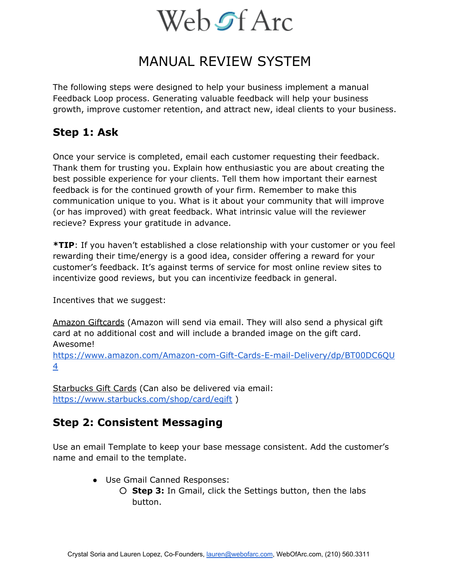## MANUAL REVIEW SYSTEM

The following steps were designed to help your business implement a manual Feedback Loop process. Generating valuable feedback will help your business growth, improve customer retention, and attract new, ideal clients to your business.

### **Step 1: Ask**

Once your service is completed, email each customer requesting their feedback. Thank them for trusting you. Explain how enthusiastic you are about creating the best possible experience for your clients. Tell them how important their earnest feedback is for the continued growth of your firm. Remember to make this communication unique to you. What is it about your community that will improve (or has improved) with great feedback. What intrinsic value will the reviewer recieve? Express your gratitude in advance.

**\*TIP**: If you haven't established a close relationship with your customer or you feel rewarding their time/energy is a good idea, consider offering a reward for your customer's feedback. It's against terms of service for most online review sites to incentivize good reviews, but you can incentivize feedback in general.

Incentives that we suggest:

Amazon Giftcards (Amazon will send via email. They will also send a physical gift card at no additional cost and will include a branded image on the gift card. Awesome!

https://www.amazon.com/Amazon-com-Gift-Cards-E-mail-Delivery/dp/BT00DC6QU [4](https://www.amazon.com/Amazon-com-Gift-Cards-E-mail-Delivery/dp/BT00DC6QU4)

Starbucks Gift Cards (Can also be delivered via email: <https://www.starbucks.com/shop/card/egift>)

### **Step 2: Consistent Messaging**

Use an email Template to keep your base message consistent. Add the customer's name and email to the template.

- Use Gmail Canned Responses:
	- **Step 3:** In Gmail, click the Settings button, then the labs button.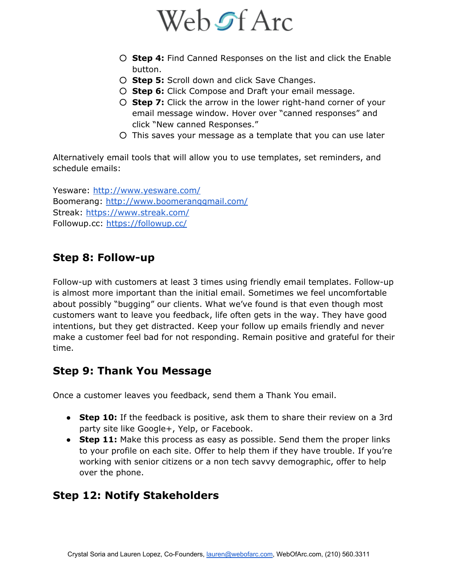

- **Step 4:** Find Canned Responses on the list and click the Enable button.
- **Step 5:** Scroll down and click Save Changes.
- **Step 6:** Click Compose and Draft your email message.
- **Step 7:** Click the arrow in the lower right-hand corner of your email message window. Hover over "canned responses" and click "New canned Responses."
- This saves your message as a template that you can use later

Alternatively email tools that will allow you to use templates, set reminders, and schedule emails:

Yesware:<http://www.yesware.com/> Boomerang:<http://www.boomeranggmail.com/> Streak:<https://www.streak.com/> Followup.cc: <https://followup.cc/>

### **Step 8: Follow-up**

Follow-up with customers at least 3 times using friendly email templates. Follow-up is almost more important than the initial email. Sometimes we feel uncomfortable about possibly "bugging" our clients. What we've found is that even though most customers want to leave you feedback, life often gets in the way. They have good intentions, but they get distracted. Keep your follow up emails friendly and never make a customer feel bad for not responding. Remain positive and grateful for their time.

### **Step 9: Thank You Message**

Once a customer leaves you feedback, send them a Thank You email.

- **Step 10:** If the feedback is positive, ask them to share their review on a 3rd party site like Google+, Yelp, or Facebook.
- **Step 11:** Make this process as easy as possible. Send them the proper links to your profile on each site. Offer to help them if they have trouble. If you're working with senior citizens or a non tech savvy demographic, offer to help over the phone.

### **Step 12: Notify Stakeholders**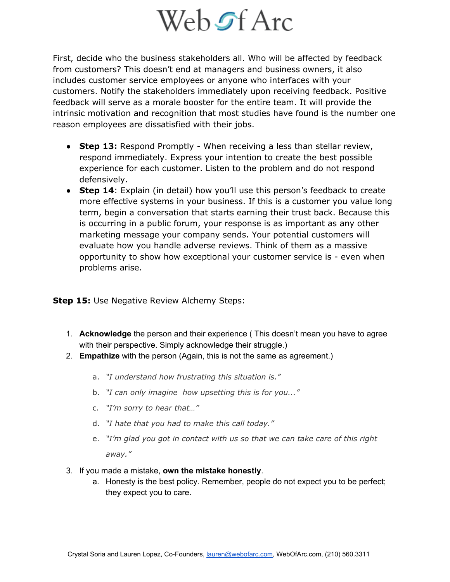# Web of Arc

First, decide who the business stakeholders all. Who will be affected by feedback from customers? This doesn't end at managers and business owners, it also includes customer service employees or anyone who interfaces with your customers. Notify the stakeholders immediately upon receiving feedback. Positive feedback will serve as a morale booster for the entire team. It will provide the intrinsic motivation and recognition that most studies have found is the number one reason employees are dissatisfied with their jobs.

- **Step 13:** Respond Promptly When receiving a less than stellar review, respond immediately. Express your intention to create the best possible experience for each customer. Listen to the problem and do not respond defensively.
- **Step 14**: Explain (in detail) how you'll use this person's feedback to create more effective systems in your business. If this is a customer you value long term, begin a conversation that starts earning their trust back. Because this is occurring in a public forum, your response is as important as any other marketing message your company sends. Your potential customers will evaluate how you handle adverse reviews. Think of them as a massive opportunity to show how exceptional your customer service is - even when problems arise.

#### **Step 15:** Use Negative Review Alchemy Steps:

- 1. **Acknowledge** the person and their experience ( This doesn't mean you have to agree with their perspective. Simply acknowledge their struggle.)
- 2. **Empathize** with the person (Again, this is not the same as agreement.)
	- a. *"I understand how frustrating this situation is."*
	- b. *"I can only imagine how upsetting this is for you..."*
	- c. *"I'm sorry to hear that…"*
	- d. *"I hate that you had to make this call today."*
	- e. *"I'm glad you got in contact with us so that we can take care of this right away."*
- 3. If you made a mistake, **own the mistake honestly**.
	- a. Honesty is the best policy. Remember, people do not expect you to be perfect; they expect you to care.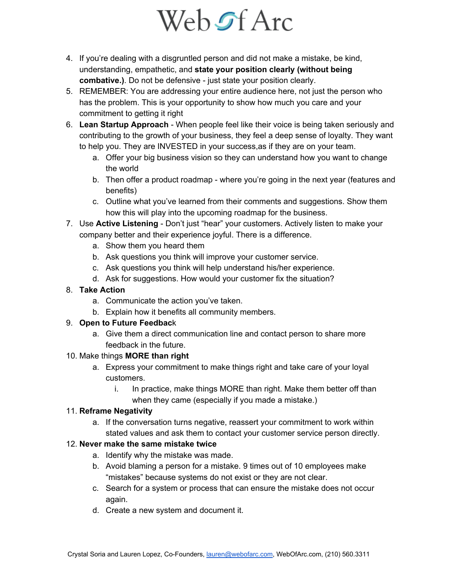- 4. If you're dealing with a disgruntled person and did not make a mistake, be kind, understanding, empathetic, and **state your position clearly (without being**  combative.). Do not be defensive - just state your position clearly.
- 5. REMEMBER: You are addressing your entire audience here, not just the person who has the problem. This is your opportunity to show how much you care and your commitment to getting it right
- 6. **Lean Startup Approach** When people feel like their voice is being taken seriously and contributing to the growth of your business, they feel a deep sense of loyalty. They want to help you. They are INVESTED in your success,as if they are on your team.
	- a. Offer your big business vision so they can understand how you want to change the world
	- b. Then offer a product roadmap where you're going in the next year (features and benefits)
	- c. Outline what you've learned from their comments and suggestions. Show them how this will play into the upcoming roadmap for the business.
- 7. Use **Active Listening** Don't just "hear" your customers. Actively listen to make your company better and their experience joyful. There is a difference.
	- a. Show them you heard them
	- b. Ask questions you think will improve your customer service.
	- c. Ask questions you think will help understand his/her experience.
	- d. Ask for suggestions. How would your customer fix the situation?
- 8. **Take Action** 
	- a. Communicate the action you've taken.
	- b. Explain how it benefits all community members.

#### 9. **Open to Future Feedbac**k

a. Give them a direct communication line and contact person to share more feedback in the future.

#### 10. Make things **MORE than right**

- a. Express your commitment to make things right and take care of your loyal customers.
	- i. In practice, make things MORE than right. Make them better off than when they came (especially if you made a mistake.)

#### 11. **Reframe Negativity**

a. If the conversation turns negative, reassert your commitment to work within stated values and ask them to contact your customer service person directly.

#### 12. **Never make the same mistake twice**

- a. Identify why the mistake was made.
- b. Avoid blaming a person for a mistake. 9 times out of 10 employees make "mistakes" because systems do not exist or they are not clear.
- c. Search for a system or process that can ensure the mistake does not occur again.
- d. Create a new system and document it.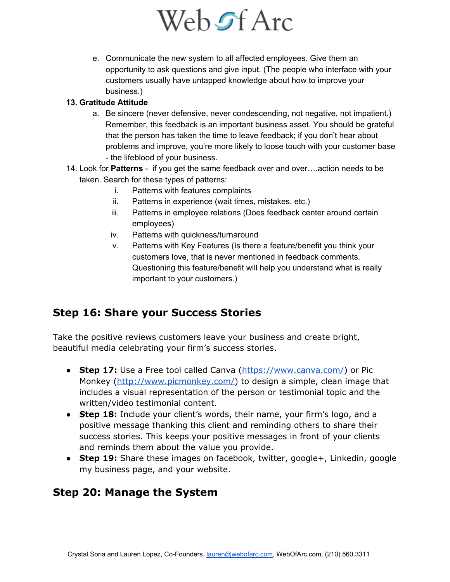e. Communicate the new system to all affected employees. Give them an opportunity to ask questions and give input. (The people who interface with your customers usually have untapped knowledge about how to improve your business.)

#### **13. Gratitude Attitude**

- a. Be sincere (never defensive, never condescending, not negative, not impatient.) Remember, this feedback is an important business asset. You should be grateful that the person has taken the time to leave feedback; if you don't hear about problems and improve, you're more likely to loose touch with your customer base - the lifeblood of your business.
- 14. Look for **Patterns** if you get the same feedback over and over….action needs to be taken. Search for these types of patterns:
	- i. Patterns with features complaints
	- ii. Patterns in experience (wait times, mistakes, etc.)
	- iii. Patterns in employee relations (Does feedback center around certain employees)
	- iv. Patterns with quickness/turnaround
	- v. Patterns with Key Features (Is there a feature/benefit you think your customers love, that is never mentioned in feedback comments. Questioning this feature/benefit will help you understand what is really important to your customers.)

## **Step 16: Share your Success Stories**

Take the positive reviews customers leave your business and create bright, beautiful media celebrating your firm's success stories.

- **Step 17:** Use a Free tool called Canva [\(https://www.canva.com/\)](https://www.canva.com/) or Pic Monkey [\(http://www.picmonkey.com/\)](http://www.picmonkey.com/) to design a simple, clean image that includes a visual representation of the person or testimonial topic and the written/video testimonial content.
- **Step 18:** Include your client's words, their name, your firm's logo, and a positive message thanking this client and reminding others to share their success stories. This keeps your positive messages in front of your clients and reminds them about the value you provide.
- **Step 19:** Share these images on facebook, twitter, google+, Linkedin, google my business page, and your website.

### **Step 20: Manage the System**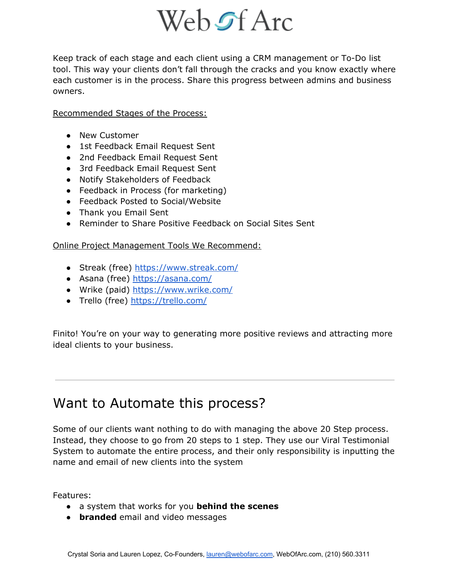Keep track of each stage and each client using a CRM management or To-Do list tool. This way your clients don't fall through the cracks and you know exactly where each customer is in the process. Share this progress between admins and business owners.

Recommended Stages of the Process:

- New Customer
- 1st Feedback Email Request Sent
- 2nd Feedback Email Request Sent
- 3rd Feedback Email Request Sent
- Notify Stakeholders of Feedback
- Feedback in Process (for marketing)
- Feedback Posted to Social/Website
- Thank you Email Sent
- Reminder to Share Positive Feedback on Social Sites Sent

Online Project Management Tools We Recommend:

- Streak (free)<https://www.streak.com/>
- Asana (free) <https://asana.com/>
- Wrike (paid)<https://www.wrike.com/>
- Trello (free)<https://trello.com/>

Finito! You're on your way to generating more positive reviews and attracting more ideal clients to your business.

# Want to Automate this process?

Some of our clients want nothing to do with managing the above 20 Step process. Instead, they choose to go from 20 steps to 1 step. They use our Viral Testimonial System to automate the entire process, and their only responsibility is inputting the name and email of new clients into the system

Features:

- a system that works for you **behind the scenes**
- **branded** email and video messages